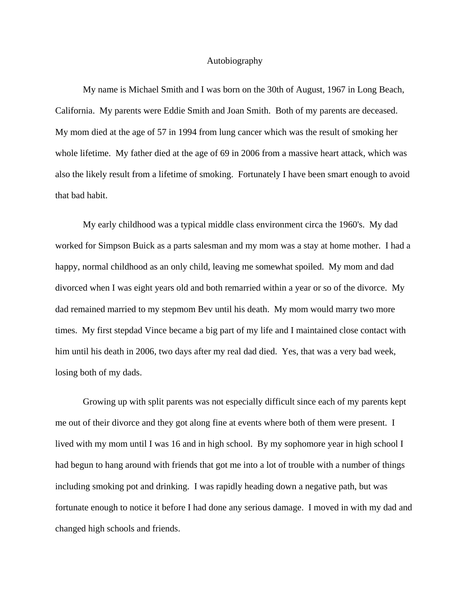## Autobiography

 My name is Michael Smith and I was born on the 30th of August, 1967 in Long Beach, California. My parents were Eddie Smith and Joan Smith. Both of my parents are deceased. My mom died at the age of 57 in 1994 from lung cancer which was the result of smoking her whole lifetime. My father died at the age of 69 in 2006 from a massive heart attack, which was also the likely result from a lifetime of smoking. Fortunately I have been smart enough to avoid that bad habit.

 My early childhood was a typical middle class environment circa the 1960's. My dad worked for Simpson Buick as a parts salesman and my mom was a stay at home mother. I had a happy, normal childhood as an only child, leaving me somewhat spoiled. My mom and dad divorced when I was eight years old and both remarried within a year or so of the divorce. My dad remained married to my stepmom Bev until his death. My mom would marry two more times. My first stepdad Vince became a big part of my life and I maintained close contact with him until his death in 2006, two days after my real dad died. Yes, that was a very bad week, losing both of my dads.

 Growing up with split parents was not especially difficult since each of my parents kept me out of their divorce and they got along fine at events where both of them were present. I lived with my mom until I was 16 and in high school. By my sophomore year in high school I had begun to hang around with friends that got me into a lot of trouble with a number of things including smoking pot and drinking. I was rapidly heading down a negative path, but was fortunate enough to notice it before I had done any serious damage. I moved in with my dad and changed high schools and friends.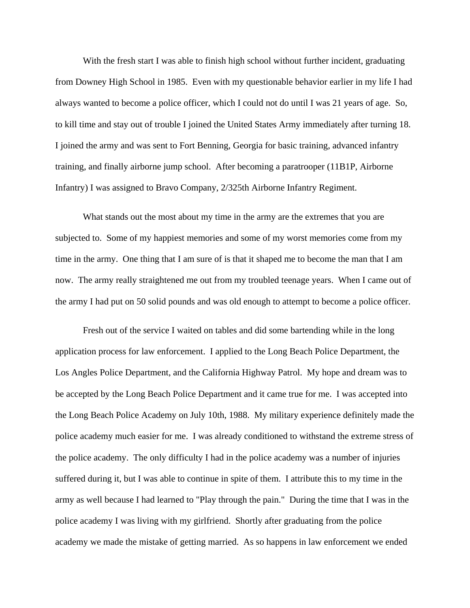With the fresh start I was able to finish high school without further incident, graduating from Downey High School in 1985. Even with my questionable behavior earlier in my life I had always wanted to become a police officer, which I could not do until I was 21 years of age. So, to kill time and stay out of trouble I joined the United States Army immediately after turning 18. I joined the army and was sent to Fort Benning, Georgia for basic training, advanced infantry training, and finally airborne jump school. After becoming a paratrooper (11B1P, Airborne Infantry) I was assigned to Bravo Company, 2/325th Airborne Infantry Regiment.

 What stands out the most about my time in the army are the extremes that you are subjected to. Some of my happiest memories and some of my worst memories come from my time in the army. One thing that I am sure of is that it shaped me to become the man that I am now. The army really straightened me out from my troubled teenage years. When I came out of the army I had put on 50 solid pounds and was old enough to attempt to become a police officer.

 Fresh out of the service I waited on tables and did some bartending while in the long application process for law enforcement. I applied to the Long Beach Police Department, the Los Angles Police Department, and the California Highway Patrol. My hope and dream was to be accepted by the Long Beach Police Department and it came true for me. I was accepted into the Long Beach Police Academy on July 10th, 1988. My military experience definitely made the police academy much easier for me. I was already conditioned to withstand the extreme stress of the police academy. The only difficulty I had in the police academy was a number of injuries suffered during it, but I was able to continue in spite of them. I attribute this to my time in the army as well because I had learned to "Play through the pain." During the time that I was in the police academy I was living with my girlfriend. Shortly after graduating from the police academy we made the mistake of getting married. As so happens in law enforcement we ended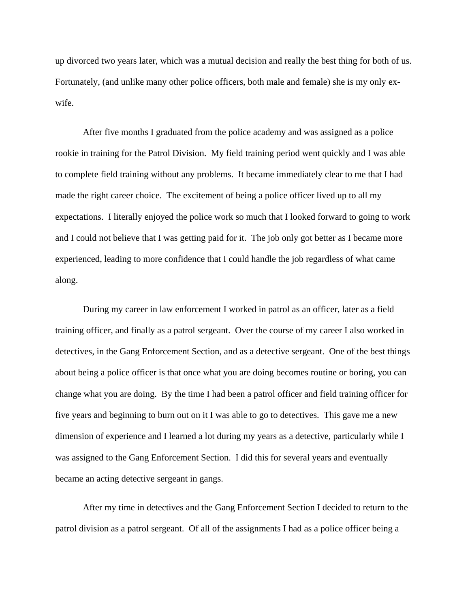up divorced two years later, which was a mutual decision and really the best thing for both of us. Fortunately, (and unlike many other police officers, both male and female) she is my only exwife.

 After five months I graduated from the police academy and was assigned as a police rookie in training for the Patrol Division. My field training period went quickly and I was able to complete field training without any problems. It became immediately clear to me that I had made the right career choice. The excitement of being a police officer lived up to all my expectations. I literally enjoyed the police work so much that I looked forward to going to work and I could not believe that I was getting paid for it. The job only got better as I became more experienced, leading to more confidence that I could handle the job regardless of what came along.

 During my career in law enforcement I worked in patrol as an officer, later as a field training officer, and finally as a patrol sergeant. Over the course of my career I also worked in detectives, in the Gang Enforcement Section, and as a detective sergeant. One of the best things about being a police officer is that once what you are doing becomes routine or boring, you can change what you are doing. By the time I had been a patrol officer and field training officer for five years and beginning to burn out on it I was able to go to detectives. This gave me a new dimension of experience and I learned a lot during my years as a detective, particularly while I was assigned to the Gang Enforcement Section. I did this for several years and eventually became an acting detective sergeant in gangs.

 After my time in detectives and the Gang Enforcement Section I decided to return to the patrol division as a patrol sergeant. Of all of the assignments I had as a police officer being a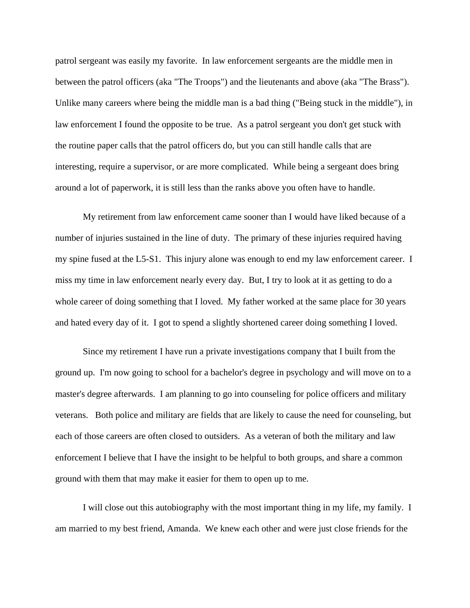patrol sergeant was easily my favorite. In law enforcement sergeants are the middle men in between the patrol officers (aka "The Troops") and the lieutenants and above (aka "The Brass"). Unlike many careers where being the middle man is a bad thing ("Being stuck in the middle"), in law enforcement I found the opposite to be true. As a patrol sergeant you don't get stuck with the routine paper calls that the patrol officers do, but you can still handle calls that are interesting, require a supervisor, or are more complicated. While being a sergeant does bring around a lot of paperwork, it is still less than the ranks above you often have to handle.

 My retirement from law enforcement came sooner than I would have liked because of a number of injuries sustained in the line of duty. The primary of these injuries required having my spine fused at the L5-S1. This injury alone was enough to end my law enforcement career. I miss my time in law enforcement nearly every day. But, I try to look at it as getting to do a whole career of doing something that I loved. My father worked at the same place for 30 years and hated every day of it. I got to spend a slightly shortened career doing something I loved.

 Since my retirement I have run a private investigations company that I built from the ground up. I'm now going to school for a bachelor's degree in psychology and will move on to a master's degree afterwards. I am planning to go into counseling for police officers and military veterans. Both police and military are fields that are likely to cause the need for counseling, but each of those careers are often closed to outsiders. As a veteran of both the military and law enforcement I believe that I have the insight to be helpful to both groups, and share a common ground with them that may make it easier for them to open up to me.

 I will close out this autobiography with the most important thing in my life, my family. I am married to my best friend, Amanda. We knew each other and were just close friends for the